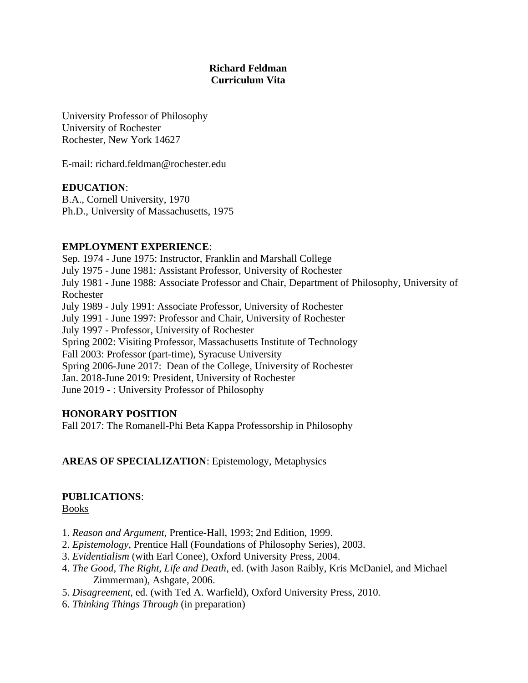# **Richard Feldman Curriculum Vita**

University Professor of Philosophy University of Rochester Rochester, New York 14627

E-mail: richard.feldman@rochester.edu

#### **EDUCATION**:

B.A., Cornell University, 1970 Ph.D., University of Massachusetts, 1975

#### **EMPLOYMENT EXPERIENCE**:

Sep. 1974 - June 1975: Instructor, Franklin and Marshall College July 1975 - June 1981: Assistant Professor, University of Rochester July 1981 - June 1988: Associate Professor and Chair, Department of Philosophy, University of Rochester July 1989 - July 1991: Associate Professor, University of Rochester July 1991 - June 1997: Professor and Chair, University of Rochester July 1997 - Professor, University of Rochester Spring 2002: Visiting Professor, Massachusetts Institute of Technology Fall 2003: Professor (part-time), Syracuse University Spring 2006-June 2017: Dean of the College, University of Rochester Jan. 2018-June 2019: President, University of Rochester June 2019 - : University Professor of Philosophy

#### **HONORARY POSITION**

Fall 2017: The Romanell-Phi Beta Kappa Professorship in Philosophy

**AREAS OF SPECIALIZATION**: Epistemology, Metaphysics

# **PUBLICATIONS**:

Books

- 1. *Reason and Argument*, Prentice-Hall, 1993; 2nd Edition, 1999.
- 2. *Epistemology*, Prentice Hall (Foundations of Philosophy Series), 2003.
- 3. *Evidentialism* (with Earl Conee), Oxford University Press, 2004.
- 4. *The Good, The Right, Life and Death*, ed. (with Jason Raibly, Kris McDaniel, and Michael Zimmerman), Ashgate, 2006.
- 5. *Disagreement,* ed. (with Ted A. Warfield), Oxford University Press, 2010*.*
- 6. *Thinking Things Through* (in preparation)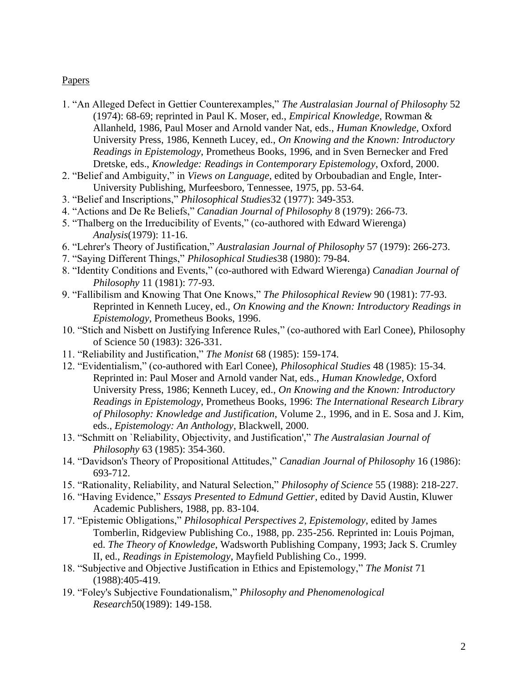### Papers

- 1. "An Alleged Defect in Gettier Counterexamples," *The Australasian Journal of Philosophy* 52 (1974): 68-69; reprinted in Paul K. Moser, ed., *Empirical Knowledge*, Rowman & Allanheld, 1986, Paul Moser and Arnold vander Nat, eds., *Human Knowledge*, Oxford University Press, 1986, Kenneth Lucey, ed., *On Knowing and the Known: Introductory Readings in Epistemology*, Prometheus Books, 1996, and in Sven Bernecker and Fred Dretske, eds., *Knowledge: Readings in Contemporary Epistemology*, Oxford, 2000.
- 2. "Belief and Ambiguity," in *Views on Language*, edited by Orboubadian and Engle, Inter-University Publishing, Murfeesboro, Tennessee, 1975, pp. 53-64.
- 3. "Belief and Inscriptions," *Philosophical Studies*32 (1977): 349-353.
- 4. "Actions and De Re Beliefs," *Canadian Journal of Philosophy* 8 (1979): 266-73.
- 5. "Thalberg on the Irreducibility of Events," (co-authored with Edward Wierenga) *Analysis*(1979): 11-16.
- 6. "Lehrer's Theory of Justification," *Australasian Journal of Philosophy* 57 (1979): 266-273.
- 7. "Saying Different Things," *Philosophical Studies*38 (1980): 79-84.
- 8. "Identity Conditions and Events," (co-authored with Edward Wierenga) *Canadian Journal of Philosophy* 11 (1981): 77-93.
- 9. "Fallibilism and Knowing That One Knows," *The Philosophical Review* 90 (1981): 77-93. Reprinted in Kenneth Lucey, ed., *On Knowing and the Known: Introductory Readings in Epistemology*, Prometheus Books, 1996.
- 10. "Stich and Nisbett on Justifying Inference Rules," (co-authored with Earl Conee), Philosophy of Science 50 (1983): 326-331.
- 11. "Reliability and Justification," *The Monist* 68 (1985): 159-174.
- 12. "Evidentialism," (co-authored with Earl Conee), *Philosophical Studies* 48 (1985): 15-34. Reprinted in: Paul Moser and Arnold vander Nat, eds., *Human Knowledge*, Oxford University Press, 1986; Kenneth Lucey, ed., *On Knowing and the Known: Introductory Readings in Epistemology*, Prometheus Books, 1996: *The International Research Library of Philosophy: Knowledge and Justification*, Volume 2., 1996, and in E. Sosa and J. Kim, eds., *Epistemology: An Anthology*, Blackwell, 2000.
- 13. "Schmitt on `Reliability, Objectivity, and Justification'," *The Australasian Journal of Philosophy* 63 (1985): 354-360.
- 14. "Davidson's Theory of Propositional Attitudes," *Canadian Journal of Philosophy* 16 (1986): 693-712.
- 15. "Rationality, Reliability, and Natural Selection," *Philosophy of Science* 55 (1988): 218-227.
- 16. "Having Evidence," *Essays Presented to Edmund Gettier*, edited by David Austin, Kluwer Academic Publishers, 1988, pp. 83-104.
- 17. "Epistemic Obligations," *Philosophical Perspectives 2, Epistemology*, edited by James Tomberlin, Ridgeview Publishing Co., 1988, pp. 235-256. Reprinted in: Louis Pojman, ed. *The Theory of Knowledge*, Wadsworth Publishing Company, 1993; Jack S. Crumley II, ed., *Readings in Epistemology*, Mayfield Publishing Co., 1999.
- 18. "Subjective and Objective Justification in Ethics and Epistemology," *The Monist* 71 (1988):405-419.
- 19. "Foley's Subjective Foundationalism," *Philosophy and Phenomenological Research*50(1989): 149-158.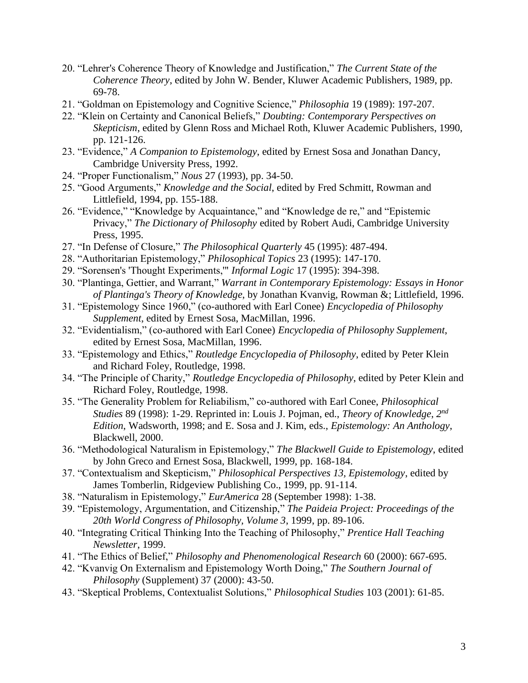- 20. "Lehrer's Coherence Theory of Knowledge and Justification," *The Current State of the Coherence Theory*, edited by John W. Bender, Kluwer Academic Publishers, 1989, pp. 69-78.
- 21. "Goldman on Epistemology and Cognitive Science," *Philosophia* 19 (1989): 197-207.
- 22. "Klein on Certainty and Canonical Beliefs," *Doubting: Contemporary Perspectives on Skepticism*, edited by Glenn Ross and Michael Roth, Kluwer Academic Publishers, 1990, pp. 121-126.
- 23. "Evidence," *A Companion to Epistemology*, edited by Ernest Sosa and Jonathan Dancy, Cambridge University Press, 1992.
- 24. "Proper Functionalism," *Nous* 27 (1993), pp. 34-50.
- 25. "Good Arguments," *Knowledge and the Social*, edited by Fred Schmitt, Rowman and Littlefield, 1994, pp. 155-188.
- 26. "Evidence," "Knowledge by Acquaintance," and "Knowledge de re," and "Epistemic Privacy," *The Dictionary of Philosophy* edited by Robert Audi, Cambridge University Press, 1995.
- 27. "In Defense of Closure," *The Philosophical Quarterly* 45 (1995): 487-494.
- 28. "Authoritarian Epistemology," *Philosophical Topics* 23 (1995): 147-170.
- 29. "Sorensen's 'Thought Experiments,'" *Informal Logic* 17 (1995): 394-398.
- 30. "Plantinga, Gettier, and Warrant," *Warrant in Contemporary Epistemology: Essays in Honor of Plantinga's Theory of Knowledge*, by Jonathan Kvanvig, Rowman &; Littlefield, 1996.
- 31. "Epistemology Since 1960," (co-authored with Earl Conee) *Encyclopedia of Philosophy Supplement*, edited by Ernest Sosa, MacMillan, 1996.
- 32. "Evidentialism," (co-authored with Earl Conee) *Encyclopedia of Philosophy Supplement*, edited by Ernest Sosa, MacMillan, 1996.
- 33. "Epistemology and Ethics," *Routledge Encyclopedia of Philosophy*, edited by Peter Klein and Richard Foley, Routledge, 1998.
- 34. "The Principle of Charity," *Routledge Encyclopedia of Philosophy*, edited by Peter Klein and Richard Foley, Routledge, 1998.
- 35. "The Generality Problem for Reliabilism," co-authored with Earl Conee, *Philosophical Studies* 89 (1998): 1-29. Reprinted in: Louis J. Pojman, ed., *Theory of Knowledge*, *2 nd Edition*, Wadsworth, 1998; and E. Sosa and J. Kim, eds., *Epistemology: An Anthology*, Blackwell, 2000.
- 36. "Methodological Naturalism in Epistemology," *The Blackwell Guide to Epistemology*, edited by John Greco and Ernest Sosa, Blackwell, 1999, pp. 168-184.
- 37. "Contextualism and Skepticism," *Philosophical Perspectives 13, Epistemology*, edited by James Tomberlin, Ridgeview Publishing Co., 1999, pp. 91-114.
- 38. "Naturalism in Epistemology," *EurAmerica* 28 (September 1998): 1-38.
- 39. "Epistemology, Argumentation, and Citizenship," *The Paideia Project: Proceedings of the 20th World Congress of Philosophy, Volume 3*, 1999, pp. 89-106.
- 40. "Integrating Critical Thinking Into the Teaching of Philosophy," *Prentice Hall Teaching Newsletter*, 1999.
- 41. "The Ethics of Belief," *Philosophy and Phenomenological Research* 60 (2000): 667-695.
- 42. "Kvanvig On Externalism and Epistemology Worth Doing," *The Southern Journal of Philosophy* (Supplement) 37 (2000): 43-50.
- 43. "Skeptical Problems, Contextualist Solutions," *Philosophical Studies* 103 (2001): 61-85.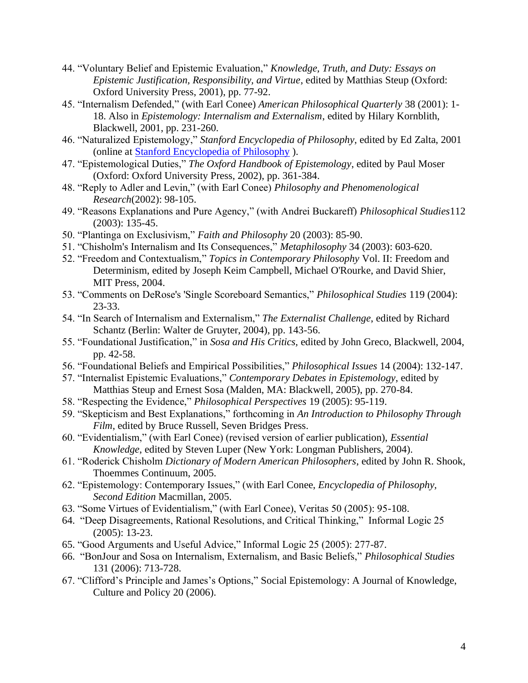- 44. "Voluntary Belief and Epistemic Evaluation," *Knowledge, Truth, and Duty: Essays on Epistemic Justification, Responsibility, and Virtue*, edited by Matthias Steup (Oxford: Oxford University Press, 2001), pp. 77-92.
- 45. "Internalism Defended," (with Earl Conee) *American Philosophical Quarterly* 38 (2001): 1- 18. Also in *Epistemology: Internalism and Externalism*, edited by Hilary Kornblith, Blackwell, 2001, pp. 231-260.
- 46. "Naturalized Epistemology," *Stanford Encyclopedia of Philosophy*, edited by Ed Zalta, 2001 (online at Stanford Encyclopedia of Philosophy ).
- 47. "Epistemological Duties," *The Oxford Handbook of Epistemology*, edited by Paul Moser (Oxford: Oxford University Press, 2002), pp. 361-384.
- 48. "Reply to Adler and Levin," (with Earl Conee) *Philosophy and Phenomenological Research*(2002): 98-105.
- 49. "Reasons Explanations and Pure Agency," (with Andrei Buckareff) *Philosophical Studies*112 (2003): 135-45.
- 50. "Plantinga on Exclusivism," *Faith and Philosophy* 20 (2003): 85-90.
- 51. "Chisholm's Internalism and Its Consequences," *Metaphilosophy* 34 (2003): 603-620.
- 52. "Freedom and Contextualism," *Topics in Contemporary Philosophy* Vol. II: Freedom and Determinism, edited by Joseph Keim Campbell, Michael O'Rourke, and David Shier, MIT Press, 2004.
- 53. "Comments on DeRose's 'Single Scoreboard Semantics," *Philosophical Studies* 119 (2004): 23-33.
- 54. "In Search of Internalism and Externalism," *The Externalist Challenge*, edited by Richard Schantz (Berlin: Walter de Gruyter, 2004), pp. 143-56.
- 55. "Foundational Justification," in *Sosa and His Critics,* edited by John Greco, Blackwell, 2004, pp. 42-58.
- 56. "Foundational Beliefs and Empirical Possibilities," *Philosophical Issues* 14 (2004): 132-147.
- 57. "Internalist Epistemic Evaluations," *Contemporary Debates in Epistemology*, edited by Matthias Steup and Ernest Sosa (Malden, MA: Blackwell, 2005), pp. 270-84.
- 58. "Respecting the Evidence," *Philosophical Perspectives* 19 (2005): 95-119.
- 59. "Skepticism and Best Explanations," forthcoming in *An Introduction to Philosophy Through Film*, edited by Bruce Russell, Seven Bridges Press.
- 60. "Evidentialism," (with Earl Conee) (revised version of earlier publication), *Essential Knowledge*, edited by Steven Luper (New York: Longman Publishers, 2004).
- 61. "Roderick Chisholm *Dictionary of Modern American Philosophers*, edited by John R. Shook, Thoemmes Continuum, 2005.
- 62. "Epistemology: Contemporary Issues," (with Earl Conee, *Encyclopedia of Philosophy, Second Edition* Macmillan, 2005.
- 63. "Some Virtues of Evidentialism," (with Earl Conee), Veritas 50 (2005): 95-108.
- 64. "Deep Disagreements, Rational Resolutions, and Critical Thinking," Informal Logic 25 (2005): 13-23.
- 65. "Good Arguments and Useful Advice," Informal Logic 25 (2005): 277-87.
- 66. "BonJour and Sosa on Internalism, Externalism, and Basic Beliefs," *Philosophical Studies* 131 (2006): 713-728.
- 67. "Clifford's Principle and James's Options," Social Epistemology: A Journal of Knowledge, Culture and Policy 20 (2006).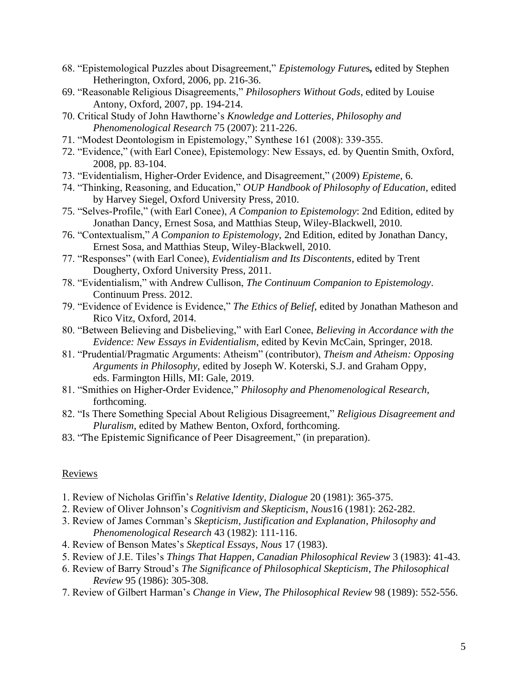- 68. "Epistemological Puzzles about Disagreement," *Epistemology Future*s*,* edited by Stephen Hetherington, Oxford, 2006, pp. 216-36.
- 69. "Reasonable Religious Disagreements," *Philosophers Without Gods*, edited by Louise Antony, Oxford, 2007, pp. 194-214.
- 70. Critical Study of John Hawthorne's *Knowledge and Lotteries*, *Philosophy and Phenomenological Research* 75 (2007): 211-226.
- 71. "Modest Deontologism in Epistemology," Synthese 161 (2008): 339-355.
- 72. "Evidence," (with Earl Conee), Epistemology: New Essays, ed. by Quentin Smith, Oxford, 2008, pp. 83-104.
- 73. "Evidentialism, Higher-Order Evidence, and Disagreement," (2009) *Episteme*, 6.
- 74. "Thinking, Reasoning, and Education," *OUP Handbook of Philosophy of Education*, edited by Harvey Siegel, Oxford University Press, 2010.
- 75. "Selves-Profile," (with Earl Conee), *A Companion to Epistemology*: 2nd Edition, edited by Jonathan Dancy, Ernest Sosa, and Matthias Steup, Wiley-Blackwell, 2010.
- 76. "Contextualism," *A Companion to Epistemology*, 2nd Edition, edited by Jonathan Dancy, Ernest Sosa, and Matthias Steup, Wiley-Blackwell, 2010.
- 77. "Responses" (with Earl Conee), *Evidentialism and Its Discontents*, edited by Trent Dougherty, Oxford University Press, 2011.
- 78. "Evidentialism," with Andrew Cullison, *The Continuum Companion to Epistemology*. Continuum Press. 2012.
- 79. "Evidence of Evidence is Evidence," *The Ethics of Belief*, edited by Jonathan Matheson and Rico Vitz, Oxford, 2014.
- 80. "Between Believing and Disbelieving," with Earl Conee, *Believing in Accordance with the Evidence: New Essays in Evidentialism*, edited by Kevin McCain, Springer, 2018.
- 81. "Prudential/Pragmatic Arguments: Atheism" (contributor), *Theism and Atheism: Opposing Arguments in Philosophy*, edited by Joseph W. Koterski, S.J. and Graham Oppy, eds. Farmington Hills, MI: Gale, 2019.
- 81. "Smithies on Higher-Order Evidence," *Philosophy and Phenomenological Research*, forthcoming.
- 82. "Is There Something Special About Religious Disagreement," *Religious Disagreement and Pluralism*, edited by Mathew Benton, Oxford, forthcoming.
- 83. "The Epistemic Significance of Peer Disagreement," (in preparation).

#### **Reviews**

- 1. Review of Nicholas Griffin's *Relative Identity*, *Dialogue* 20 (1981): 365-375.
- 2. Review of Oliver Johnson's *Cognitivism and Skepticism*, *Nous*16 (1981): 262-282.
- 3. Review of James Cornman's *Skepticism, Justification and Explanation*, *Philosophy and Phenomenological Research* 43 (1982): 111-116.
- 4. Review of Benson Mates's *Skeptical Essays*, *Nous* 17 (1983).
- 5. Review of J.E. Tiles's *Things That Happen*, *Canadian Philosophical Review* 3 (1983): 41-43.
- 6. Review of Barry Stroud's *The Significance of Philosophical Skepticism*, *The Philosophical Review* 95 (1986): 305-308.
- 7. Review of Gilbert Harman's *Change in View*, *The Philosophical Review* 98 (1989): 552-556.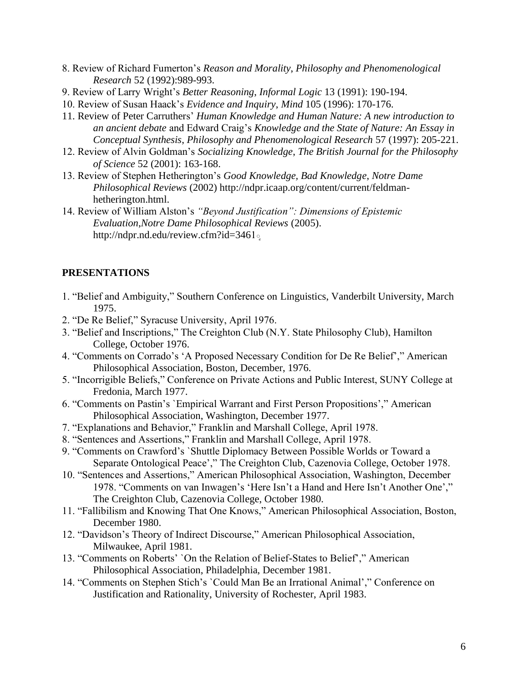- 8. Review of Richard Fumerton's *Reason and Morality*, *Philosophy and Phenomenological Research* 52 (1992):989-993.
- 9. Review of Larry Wright's *Better Reasoning*, *Informal Logic* 13 (1991): 190-194.
- 10. Review of Susan Haack's *Evidence and Inquiry*, *Mind* 105 (1996): 170-176.
- 11. Review of Peter Carruthers' *Human Knowledge and Human Nature: A new introduction to an ancient debate* and Edward Craig's *Knowledge and the State of Nature: An Essay in Conceptual Synthesis*, *Philosophy and Phenomenological Research* 57 (1997): 205-221.
- 12. Review of Alvin Goldman's *Socializing Knowledge*, *The British Journal for the Philosophy of Science* 52 (2001): 163-168.
- 13. Review of Stephen Hetherington's *Good Knowledge, Bad Knowledge*, *Notre Dame Philosophical Reviews* (2002) http://ndpr.icaap.org/content/current/feldmanhetherington.html.
- 14. Review of William Alston's *"Beyond Justification": Dimensions of Epistemic Evaluation*,*Notre Dame Philosophical Reviews* (2005). http://ndpr.nd.edu/review.cfm?id=3461.

# **PRESENTATIONS**

- 1. "Belief and Ambiguity," Southern Conference on Linguistics, Vanderbilt University, March 1975.
- 2. "De Re Belief," Syracuse University, April 1976.
- 3. "Belief and Inscriptions," The Creighton Club (N.Y. State Philosophy Club), Hamilton College, October 1976.
- 4. "Comments on Corrado's 'A Proposed Necessary Condition for De Re Belief'," American Philosophical Association, Boston, December, 1976.
- 5. "Incorrigible Beliefs," Conference on Private Actions and Public Interest, SUNY College at Fredonia, March 1977.
- 6. "Comments on Pastin's `Empirical Warrant and First Person Propositions'," American Philosophical Association, Washington, December 1977.
- 7. "Explanations and Behavior," Franklin and Marshall College, April 1978.
- 8. "Sentences and Assertions," Franklin and Marshall College, April 1978.
- 9. "Comments on Crawford's `Shuttle Diplomacy Between Possible Worlds or Toward a Separate Ontological Peace'," The Creighton Club, Cazenovia College, October 1978.
- 10. "Sentences and Assertions," American Philosophical Association, Washington, December 1978. "Comments on van Inwagen's 'Here Isn't a Hand and Here Isn't Another One'," The Creighton Club, Cazenovia College, October 1980.
- 11. "Fallibilism and Knowing That One Knows," American Philosophical Association, Boston, December 1980.
- 12. "Davidson's Theory of Indirect Discourse," American Philosophical Association, Milwaukee, April 1981.
- 13. "Comments on Roberts' `On the Relation of Belief-States to Belief'," American Philosophical Association, Philadelphia, December 1981.
- 14. "Comments on Stephen Stich's `Could Man Be an Irrational Animal'," Conference on Justification and Rationality, University of Rochester, April 1983.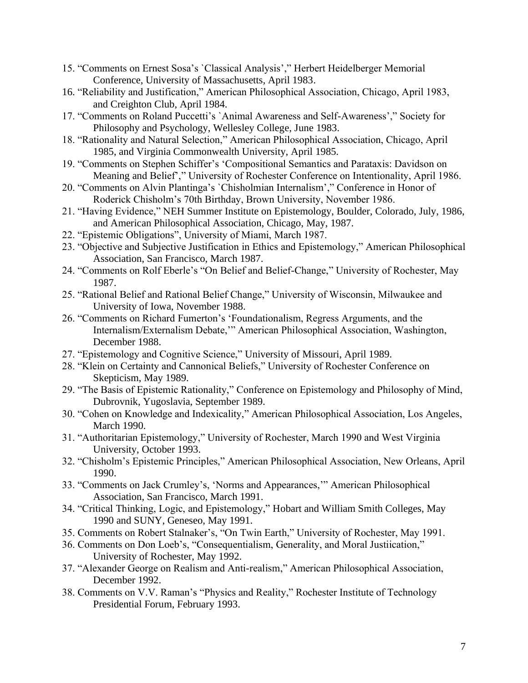- 15. "Comments on Ernest Sosa's `Classical Analysis'," Herbert Heidelberger Memorial Conference, University of Massachusetts, April 1983.
- 16. "Reliability and Justification," American Philosophical Association, Chicago, April 1983, and Creighton Club, April 1984.
- 17. "Comments on Roland Puccetti's `Animal Awareness and Self-Awareness'," Society for Philosophy and Psychology, Wellesley College, June 1983.
- 18. "Rationality and Natural Selection," American Philosophical Association, Chicago, April 1985, and Virginia Commonwealth University, April 1985.
- 19. "Comments on Stephen Schiffer's 'Compositional Semantics and Parataxis: Davidson on Meaning and Belief'," University of Rochester Conference on Intentionality, April 1986.
- 20. "Comments on Alvin Plantinga's `Chisholmian Internalism'," Conference in Honor of Roderick Chisholm's 70th Birthday, Brown University, November 1986.
- 21. "Having Evidence," NEH Summer Institute on Epistemology, Boulder, Colorado, July, 1986, and American Philosophical Association, Chicago, May, 1987.
- 22. "Epistemic Obligations", University of Miami, March 1987.
- 23. "Objective and Subjective Justification in Ethics and Epistemology," American Philosophical Association, San Francisco, March 1987.
- 24. "Comments on Rolf Eberle's "On Belief and Belief-Change," University of Rochester, May 1987.
- 25. "Rational Belief and Rational Belief Change," University of Wisconsin, Milwaukee and University of Iowa, November 1988.
- 26. "Comments on Richard Fumerton's 'Foundationalism, Regress Arguments, and the Internalism/Externalism Debate,'" American Philosophical Association, Washington, December 1988.
- 27. "Epistemology and Cognitive Science," University of Missouri, April 1989.
- 28. "Klein on Certainty and Cannonical Beliefs," University of Rochester Conference on Skepticism, May 1989.
- 29. "The Basis of Epistemic Rationality," Conference on Epistemology and Philosophy of Mind, Dubrovnik, Yugoslavia, September 1989.
- 30. "Cohen on Knowledge and Indexicality," American Philosophical Association, Los Angeles, March 1990.
- 31. "Authoritarian Epistemology," University of Rochester, March 1990 and West Virginia University, October 1993.
- 32. "Chisholm's Epistemic Principles," American Philosophical Association, New Orleans, April 1990.
- 33. "Comments on Jack Crumley's, 'Norms and Appearances,'" American Philosophical Association, San Francisco, March 1991.
- 34. "Critical Thinking, Logic, and Epistemology," Hobart and William Smith Colleges, May 1990 and SUNY, Geneseo, May 1991.
- 35. Comments on Robert Stalnaker's, "On Twin Earth," University of Rochester, May 1991.
- 36. Comments on Don Loeb's, "Consequentialism, Generality, and Moral Justiication," University of Rochester, May 1992.
- 37. "Alexander George on Realism and Anti-realism," American Philosophical Association, December 1992.
- 38. Comments on V.V. Raman's "Physics and Reality," Rochester Institute of Technology Presidential Forum, February 1993.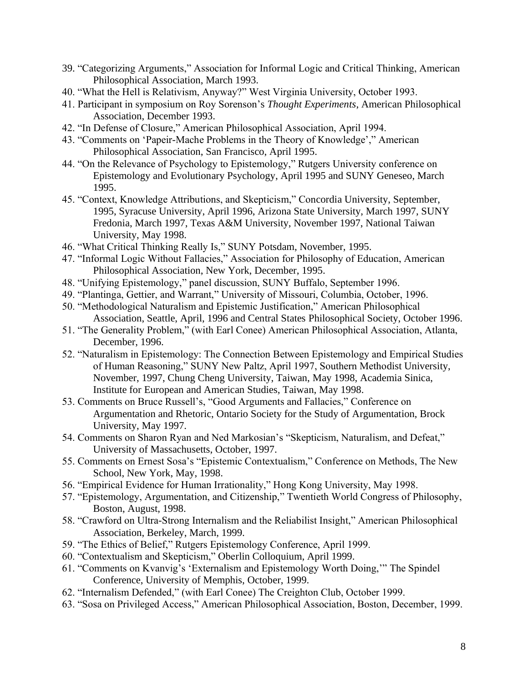- 39. "Categorizing Arguments," Association for Informal Logic and Critical Thinking, American Philosophical Association, March 1993.
- 40. "What the Hell is Relativism, Anyway?" West Virginia University, October 1993.
- 41. Participant in symposium on Roy Sorenson's *Thought Experiments*, American Philosophical Association, December 1993.
- 42. "In Defense of Closure," American Philosophical Association, April 1994.
- 43. "Comments on 'Papeir-Mache Problems in the Theory of Knowledge'," American Philosophical Association, San Francisco, April 1995.
- 44. "On the Relevance of Psychology to Epistemology," Rutgers University conference on Epistemology and Evolutionary Psychology, April 1995 and SUNY Geneseo, March 1995.
- 45. "Context, Knowledge Attributions, and Skepticism," Concordia University, September, 1995, Syracuse University, April 1996, Arizona State University, March 1997, SUNY Fredonia, March 1997, Texas A&M University, November 1997, National Taiwan University, May 1998.
- 46. "What Critical Thinking Really Is," SUNY Potsdam, November, 1995.
- 47. "Informal Logic Without Fallacies," Association for Philosophy of Education, American Philosophical Association, New York, December, 1995.
- 48. "Unifying Epistemology," panel discussion, SUNY Buffalo, September 1996.
- 49. "Plantinga, Gettier, and Warrant," University of Missouri, Columbia, October, 1996.
- 50. "Methodological Naturalism and Epistemic Justification," American Philosophical Association, Seattle, April, 1996 and Central States Philosophical Society, October 1996.
- 51. "The Generality Problem," (with Earl Conee) American Philosophical Association, Atlanta, December, 1996.
- 52. "Naturalism in Epistemology: The Connection Between Epistemology and Empirical Studies of Human Reasoning," SUNY New Paltz, April 1997, Southern Methodist University, November, 1997, Chung Cheng University, Taiwan, May 1998, Academia Sinica, Institute for European and American Studies, Taiwan, May 1998.
- 53. Comments on Bruce Russell's, "Good Arguments and Fallacies," Conference on Argumentation and Rhetoric, Ontario Society for the Study of Argumentation, Brock University, May 1997.
- 54. Comments on Sharon Ryan and Ned Markosian's "Skepticism, Naturalism, and Defeat," University of Massachusetts, October, 1997.
- 55. Comments on Ernest Sosa's "Epistemic Contextualism," Conference on Methods, The New School, New York, May, 1998.
- 56. "Empirical Evidence for Human Irrationality," Hong Kong University, May 1998.
- 57. "Epistemology, Argumentation, and Citizenship," Twentieth World Congress of Philosophy, Boston, August, 1998.
- 58. "Crawford on Ultra-Strong Internalism and the Reliabilist Insight," American Philosophical Association, Berkeley, March, 1999.
- 59. "The Ethics of Belief," Rutgers Epistemology Conference, April 1999.
- 60. "Contextualism and Skepticism," Oberlin Colloquium, April 1999.
- 61. "Comments on Kvanvig's 'Externalism and Epistemology Worth Doing,'" The Spindel Conference, University of Memphis, October, 1999.
- 62. "Internalism Defended," (with Earl Conee) The Creighton Club, October 1999.
- 63. "Sosa on Privileged Access," American Philosophical Association, Boston, December, 1999.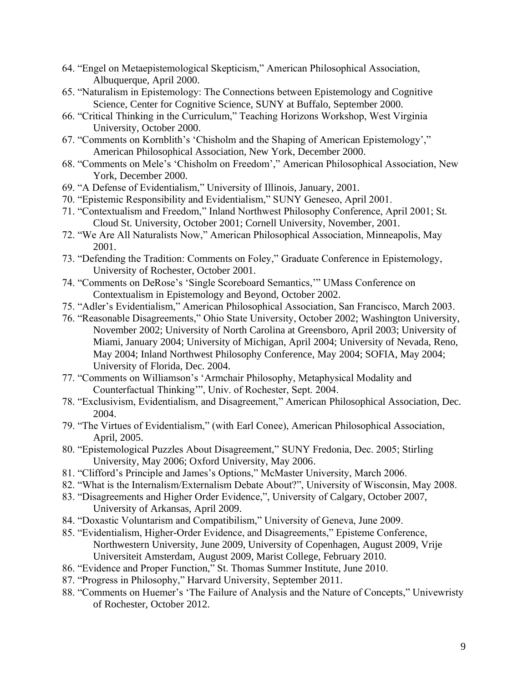- 64. "Engel on Metaepistemological Skepticism," American Philosophical Association, Albuquerque, April 2000.
- 65. "Naturalism in Epistemology: The Connections between Epistemology and Cognitive Science, Center for Cognitive Science, SUNY at Buffalo, September 2000.
- 66. "Critical Thinking in the Curriculum," Teaching Horizons Workshop, West Virginia University, October 2000.
- 67. "Comments on Kornblith's 'Chisholm and the Shaping of American Epistemology'," American Philosophical Association, New York, December 2000.
- 68. "Comments on Mele's 'Chisholm on Freedom'," American Philosophical Association, New York, December 2000.
- 69. "A Defense of Evidentialism," University of Illinois, January, 2001.
- 70. "Epistemic Responsibility and Evidentialism," SUNY Geneseo, April 2001.
- 71. "Contextualism and Freedom," Inland Northwest Philosophy Conference, April 2001; St. Cloud St. University, October 2001; Cornell University, November, 2001.
- 72. "We Are All Naturalists Now," American Philosophical Association, Minneapolis, May 2001.
- 73. "Defending the Tradition: Comments on Foley," Graduate Conference in Epistemology, University of Rochester, October 2001.
- 74. "Comments on DeRose's 'Single Scoreboard Semantics,'" UMass Conference on Contextualism in Epistemology and Beyond, October 2002.
- 75. "Adler's Evidentialism," American Philosophical Association, San Francisco, March 2003.
- 76. "Reasonable Disagreements," Ohio State University, October 2002; Washington University, November 2002; University of North Carolina at Greensboro, April 2003; University of Miami, January 2004; University of Michigan, April 2004; University of Nevada, Reno, May 2004; Inland Northwest Philosophy Conference, May 2004; SOFIA, May 2004; University of Florida, Dec. 2004.
- 77. "Comments on Williamson's 'Armchair Philosophy, Metaphysical Modality and Counterfactual Thinking'", Univ. of Rochester, Sept. 2004.
- 78. "Exclusivism, Evidentialism, and Disagreement," American Philosophical Association, Dec. 2004.
- 79. "The Virtues of Evidentialism," (with Earl Conee), American Philosophical Association, April, 2005.
- 80. "Epistemological Puzzles About Disagreement," SUNY Fredonia, Dec. 2005; Stirling University, May 2006; Oxford University, May 2006.
- 81. "Clifford's Principle and James's Options," McMaster University, March 2006.
- 82. "What is the Internalism/Externalism Debate About?", University of Wisconsin, May 2008.
- 83. "Disagreements and Higher Order Evidence,", University of Calgary, October 2007, University of Arkansas, April 2009.
- 84. "Doxastic Voluntarism and Compatibilism," University of Geneva, June 2009.
- 85. "Evidentialism, Higher-Order Evidence, and Disagreements," Episteme Conference, Northwestern University, June 2009, University of Copenhagen, August 2009, Vrije Universiteit Amsterdam, August 2009, Marist College, February 2010.
- 86. "Evidence and Proper Function," St. Thomas Summer Institute, June 2010.
- 87. "Progress in Philosophy," Harvard University, September 2011.
- 88. "Comments on Huemer's 'The Failure of Analysis and the Nature of Concepts," Univewristy of Rochester, October 2012.